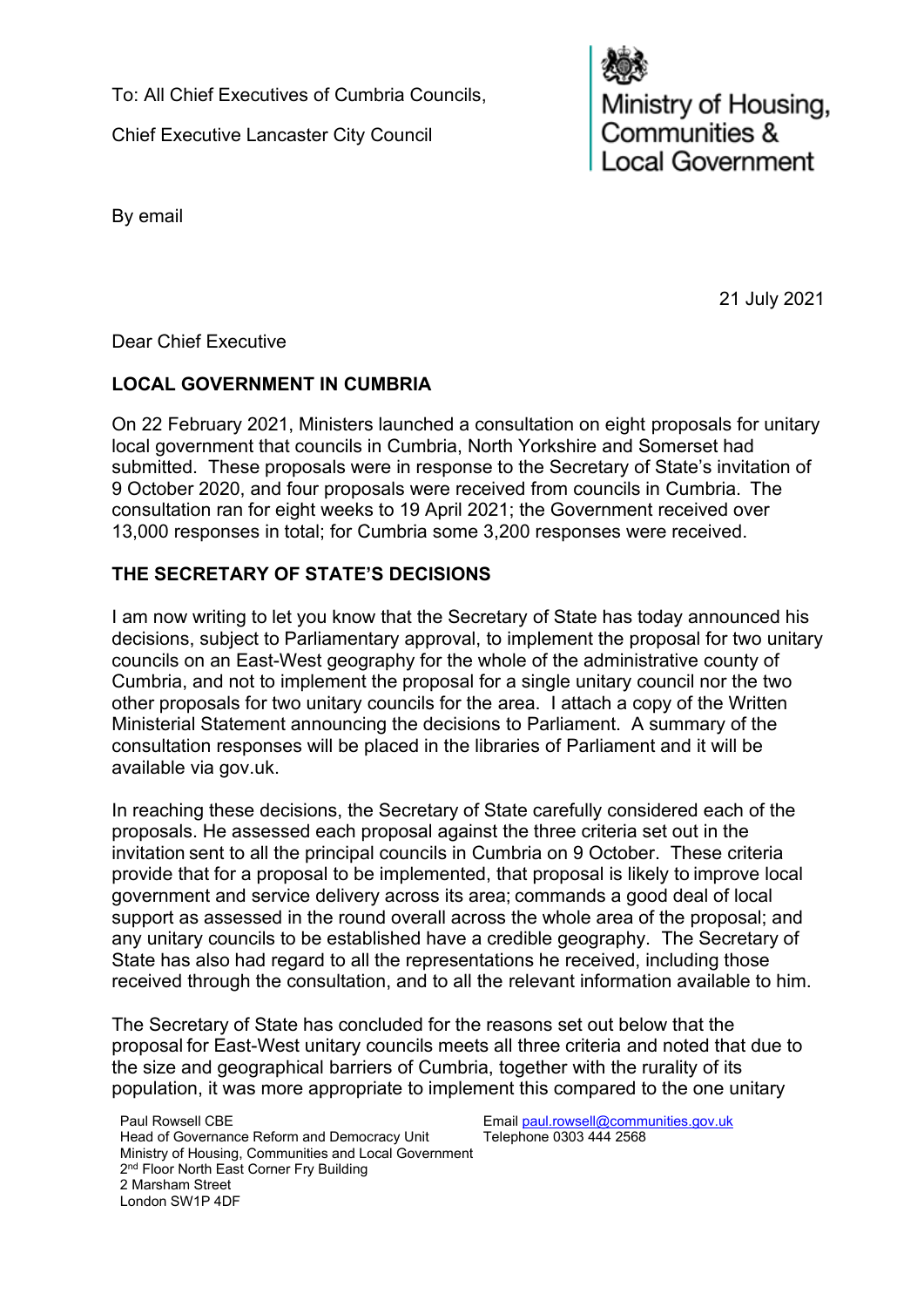To: All Chief Executives of Cumbria Councils,

Chief Executive Lancaster City Council

Ministry of Housing,<br>Communities & ocal Government

By email

21 July 2021

Dear Chief Executive

# **LOCAL GOVERNMENT IN CUMBRIA**

On 22 February 2021, Ministers launched a consultation on eight proposals for unitary local government that councils in Cumbria, North Yorkshire and Somerset had submitted. These proposals were in response to the Secretary of State's invitation of 9 October 2020, and four proposals were received from councils in Cumbria.  The consultation ran for eight weeks to 19 April 2021; the Government received over 13,000 responses in total; for Cumbria some 3,200 responses were received.

# **THE SECRETARY OF STATE'S DECISIONS**

I am now writing to let you know that the Secretary of State has today announced his decisions, subject to Parliamentary approval, to implement the proposal for two unitary councils on an East-West geography for the whole of the administrative county of Cumbria, and not to implement the proposal for a single unitary council nor the two other proposals for two unitary councils for the area. I attach a copy of the Written Ministerial Statement announcing the decisions to Parliament. A summary of the consultation responses will be placed in the libraries of Parliament and it will be available via gov.uk.

In reaching these decisions, the Secretary of State carefully considered each of the proposals. He assessed each proposal against the three criteria set out in the invitation sent to all the principal councils in Cumbria on 9 October. These criteria provide that for a proposal to be implemented, that proposal is likely to improve local government and service delivery across its area; commands a good deal of local support as assessed in the round overall across the whole area of the proposal; and any unitary councils to be established have a credible geography. The Secretary of State has also had regard to all the representations he received, including those received through the consultation, and to all the relevant information available to him.

The Secretary of State has concluded for the reasons set out below that the proposal for East-West unitary councils meets all three criteria and noted that due to the size and geographical barriers of Cumbria, together with the rurality of its population, it was more appropriate to implement this compared to the one unitary

Paul Rowsell CBE Head of Governance Reform and Democracy Unit Ministry of Housing, Communities and Local Government 2<sup>nd</sup> Floor North East Corner Fry Building 2 Marsham Street London SW1P 4DF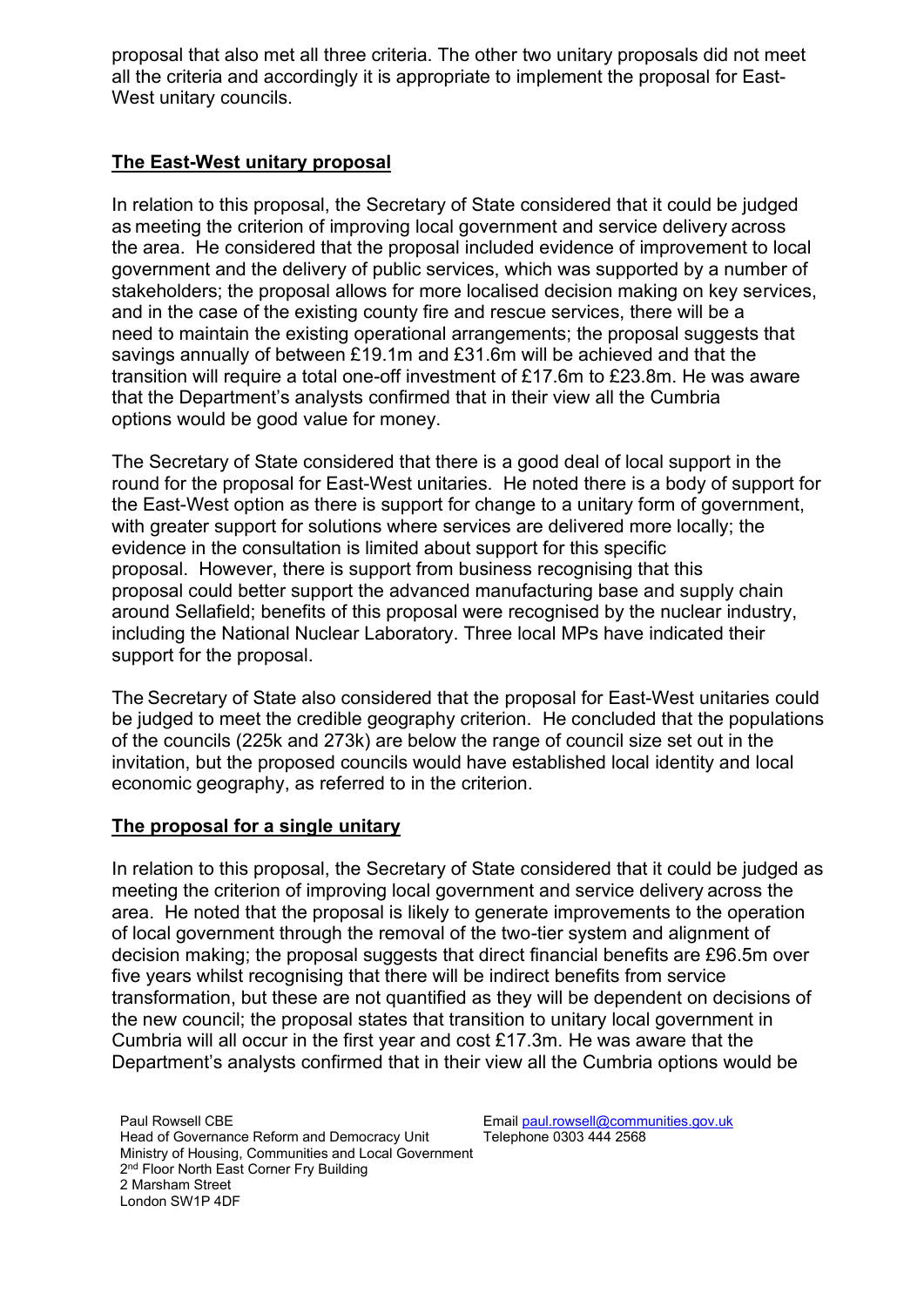proposal that also met all three criteria. The other two unitary proposals did not meet all the criteria and accordingly it is appropriate to implement the proposal for East-West unitary councils.

## **The East-West unitary proposal**

In relation to this proposal, the Secretary of State considered that it could be judged as meeting the criterion of improving local government and service delivery across the area. He considered that the proposal included evidence of improvement to local government and the delivery of public services, which was supported by a number of stakeholders; the proposal allows for more localised decision making on key services, and in the case of the existing county fire and rescue services, there will be a need to maintain the existing operational arrangements; the proposal suggests that savings annually of between £19.1m and £31.6m will be achieved and that the transition will require a total one-off investment of £17.6m to £23.8m. He was aware that the Department's analysts confirmed that in their view all the Cumbria options would be good value for money.

The Secretary of State considered that there is a good deal of local support in the round for the proposal for East-West unitaries. He noted there is a body of support for the East-West option as there is support for change to a unitary form of government, with greater support for solutions where services are delivered more locally; the evidence in the consultation is limited about support for this specific proposal. However, there is support from business recognising that this proposal could better support the advanced manufacturing base and supply chain around Sellafield; benefits of this proposal were recognised by the nuclear industry, including the National Nuclear Laboratory. Three local MPs have indicated their support for the proposal.

The Secretary of State also considered that the proposal for East-West unitaries could be judged to meet the credible geography criterion. He concluded that the populations of the councils (225k and 273k) are below the range of council size set out in the invitation, but the proposed councils would have established local identity and local economic geography, as referred to in the criterion. 

## **The proposal for a single unitary**

In relation to this proposal, the Secretary of State considered that it could be judged as meeting the criterion of improving local government and service delivery across the area. He noted that the proposal is likely to generate improvements to the operation of local government through the removal of the two-tier system and alignment of decision making; the proposal suggests that direct financial benefits are £96.5m over five years whilst recognising that there will be indirect benefits from service transformation, but these are not quantified as they will be dependent on decisions of the new council; the proposal states that transition to unitary local government in Cumbria will all occur in the first year and cost £17.3m. He was aware that the Department's analysts confirmed that in their view all the Cumbria options would be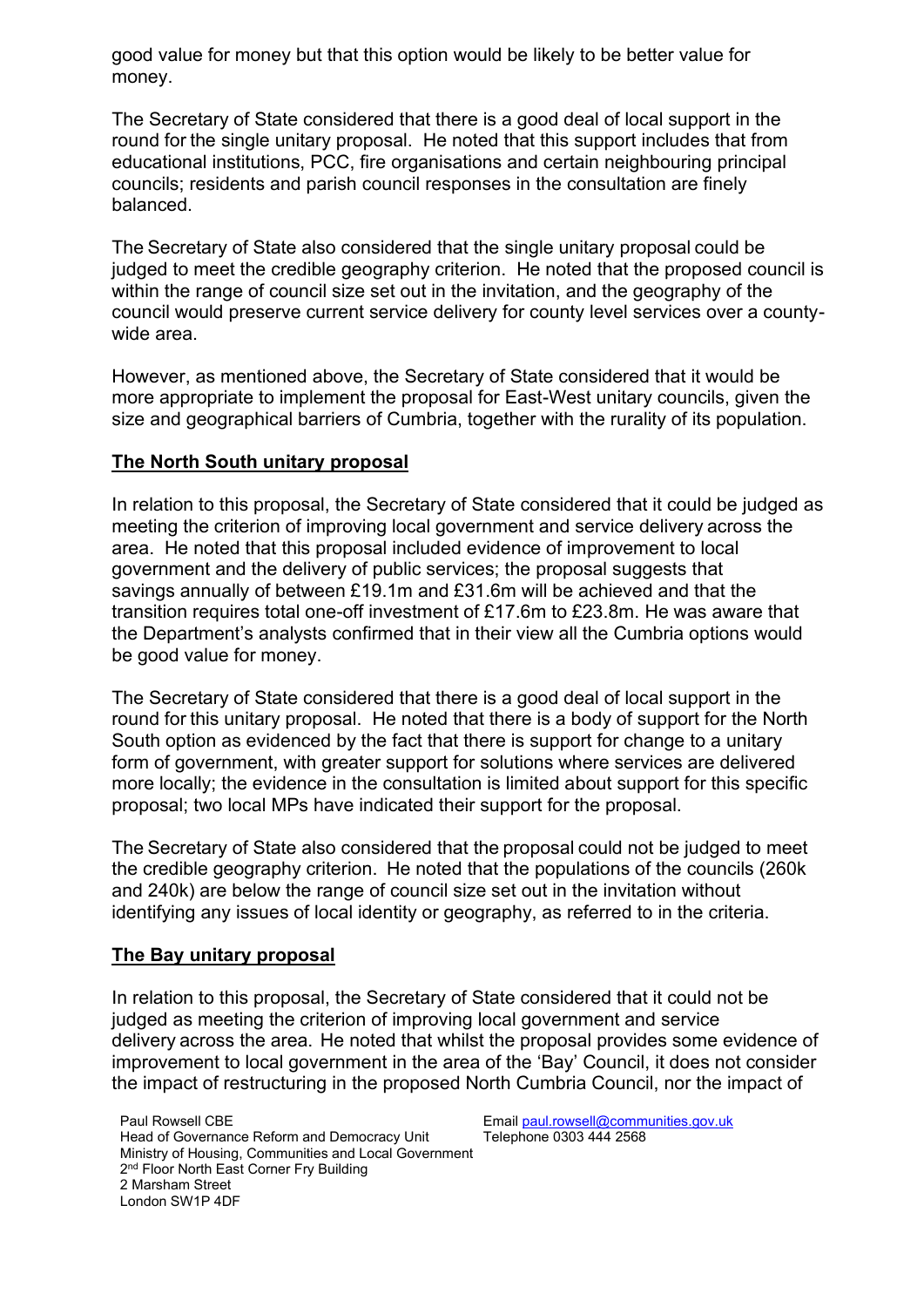good value for money but that this option would be likely to be better value for money.

The Secretary of State considered that there is a good deal of local support in the round for the single unitary proposal. He noted that this support includes that from educational institutions, PCC, fire organisations and certain neighbouring principal councils; residents and parish council responses in the consultation are finely balanced.

The Secretary of State also considered that the single unitary proposal could be judged to meet the credible geography criterion. He noted that the proposed council is within the range of council size set out in the invitation, and the geography of the council would preserve current service delivery for county level services over a countywide area.

However, as mentioned above, the Secretary of State considered that it would be more appropriate to implement the proposal for East-West unitary councils, given the size and geographical barriers of Cumbria, together with the rurality of its population.

## **The North South unitary proposal**

In relation to this proposal, the Secretary of State considered that it could be judged as meeting the criterion of improving local government and service delivery across the area. He noted that this proposal included evidence of improvement to local government and the delivery of public services; the proposal suggests that savings annually of between £19.1m and £31.6m will be achieved and that the transition requires total one-off investment of £17.6m to £23.8m. He was aware that the Department's analysts confirmed that in their view all the Cumbria options would be good value for money.

The Secretary of State considered that there is a good deal of local support in the round for this unitary proposal. He noted that there is a body of support for the North South option as evidenced by the fact that there is support for change to a unitary form of government, with greater support for solutions where services are delivered more locally; the evidence in the consultation is limited about support for this specific proposal; two local MPs have indicated their support for the proposal.

The Secretary of State also considered that the proposal could not be judged to meet the credible geography criterion.  He noted that the populations of the councils (260k and 240k) are below the range of council size set out in the invitation without identifying any issues of local identity or geography, as referred to in the criteria.

#### **The Bay unitary proposal**

In relation to this proposal, the Secretary of State considered that it could not be judged as meeting the criterion of improving local government and service delivery across the area.  He noted that whilst the proposal provides some evidence of improvement to local government in the area of the 'Bay' Council, it does not consider the impact of restructuring in the proposed North Cumbria Council, nor the impact of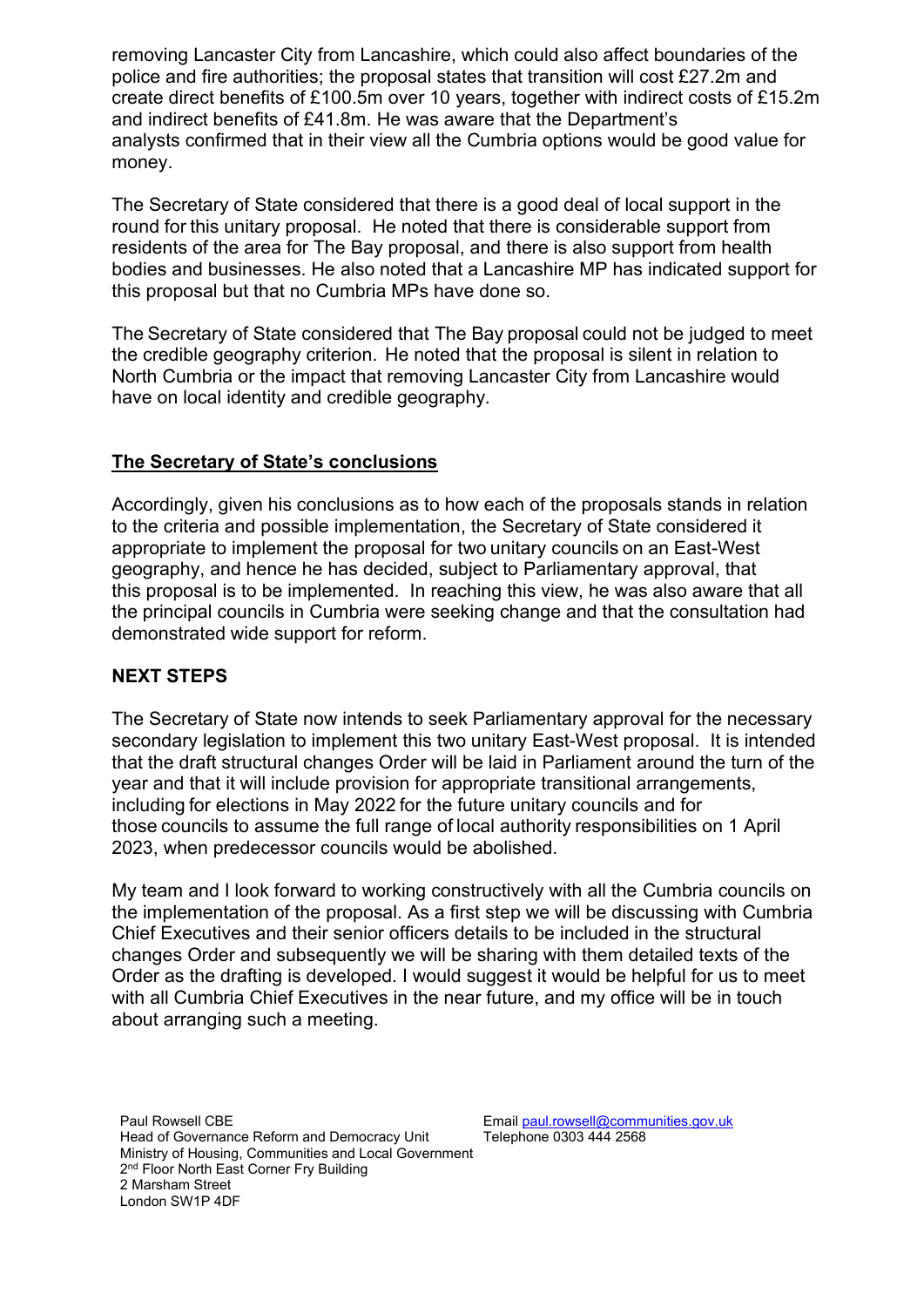removing Lancaster City from Lancashire, which could also affect boundaries of the police and fire authorities; the proposal states that transition will cost £27.2m and create direct benefits of £100.5m over 10 years, together with indirect costs of £15.2m and indirect benefits of £41.8m. He was aware that the Department's analysts confirmed that in their view all the Cumbria options would be good value for money.

The Secretary of State considered that there is a good deal of local support in the round for this unitary proposal. He noted that there is considerable support from residents of the area for The Bay proposal, and there is also support from health bodies and businesses. He also noted that a Lancashire MP has indicated support for this proposal but that no Cumbria MPs have done so.

The Secretary of State considered that The Bay proposal could not be judged to meet the credible geography criterion.  He noted that the proposal is silent in relation to North Cumbria or the impact that removing Lancaster City from Lancashire would have on local identity and credible geography.

## **The Secretary of State's conclusions**

Accordingly, given his conclusions as to how each of the proposals stands in relation to the criteria and possible implementation, the Secretary of State considered it appropriate to implement the proposal for two unitary councils on an East-West geography, and hence he has decided, subject to Parliamentary approval, that this proposal is to be implemented. In reaching this view, he was also aware that all the principal councils in Cumbria were seeking change and that the consultation had demonstrated wide support for reform.

## **NEXT STEPS**

The Secretary of State now intends to seek Parliamentary approval for the necessary secondary legislation to implement this two unitary East-West proposal. It is intended that the draft structural changes Order will be laid in Parliament around the turn of the year and that it will include provision for appropriate transitional arrangements, including for elections in May 2022 for the future unitary councils and for those councils to assume the full range of local authority responsibilities on 1 April 2023, when predecessor councils would be abolished.

My team and I look forward to working constructively with all the Cumbria councils on the implementation of the proposal. As a first step we will be discussing with Cumbria Chief Executives and their senior officers details to be included in the structural changes Order and subsequently we will be sharing with them detailed texts of the Order as the drafting is developed. I would suggest it would be helpful for us to meet with all Cumbria Chief Executives in the near future, and my office will be in touch about arranging such a meeting.

Paul Rowsell CBE Head of Governance Reform and Democracy Unit Ministry of Housing, Communities and Local Government 2<sup>nd</sup> Floor North East Corner Fry Building 2 Marsham Street London SW1P 4DF